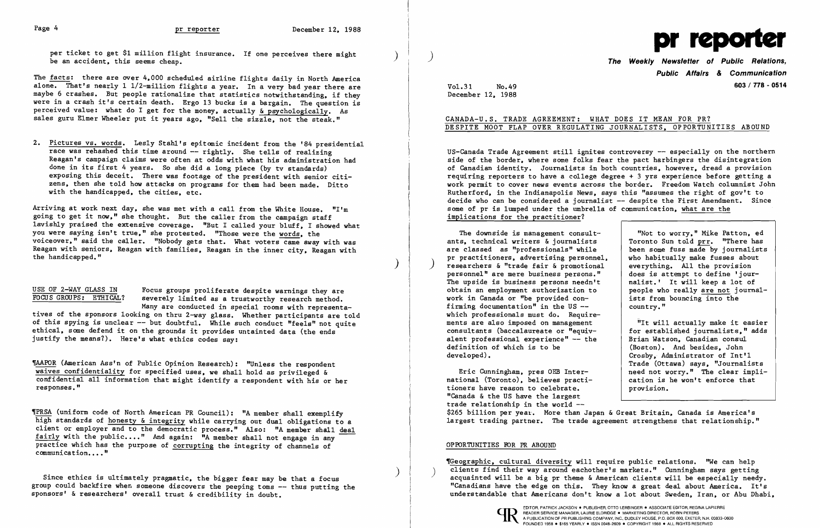per ticket to get \$1 million flight insurance. If one perceives there might be an accident, this seems cheap.

The facts: there are over 4.000 scheduled airline flights daily in North America alone. That's nearly 1 1/2-million flights a year. In a very bad year there are maybe 6 crashes. But people rationalize that statistics notwithstanding, if they were in a crash it's certain death. Ergo 13 bucks is a bargain. The question is perceived value: what do I get for the money, actually & psychologically. As sales guru Elmer Wheeler put it years ago. "Sell the sizzle, not the steak."

Arriving at work next day. she was met with a call from the White House. "I'm going to get it now." she thought. But the caller from the campaign staff lavishly praised the extensive coverage. "But I called your bluff. I showed what you were saying isn't true." she protested. "Those were the words. the voiceover." said the caller. "Nobody gets that. What voters came away with was Reagan with seniors, Reagan with families, Reagan in the inner city, Reagan with the handicapped." the handicapped." (a) and  $\mathcal{L}$  is the handicapped."

USE OF 2-WAY GLASS IN Focus groups proliferate despite warnings they are<br>FOCUS GROUPS: ETHICAL? severely limited as a trustworthy research method. severely limited as a trustworthy research method.

2. Pictures vs. words. Lesly Stahl's epitomic incident from the '84 presidential race was rehashed this time around -- rightly. She tells of realizing Reagan's campaign claims were often at odds with what his administration had done in its first 4 years. So she did a long piece (by tv standards) exposing this deceit. There was footage of the president with senior citizens. then she told how attacks on programs for them had been made. Ditto with the handicapped. the cities. etc.

TAAPOR (American Ass'n of Public Opinion Research): "Unless the respondent waives confidentiality for specified uses, we shall hold as privileged & confidential all information that might identify a respondent with his or her responses."

TPRSA (uniform code of North American PR Council): "A member shall exemplify high standards of honesty & integrity while carrying out dual obligations to a client or employer and to the democratic process." Also: "A member shall deal fairly with the public...." And again: "A member shall not engage in any practice which has the purpose of corrupting the integrity of channels of communication...."

group could backfire when someone discovers the peeping toms  $-\text{-}$  thus putting the sponsors' & researchers' overall trust & credibility in doubt.

US-Canada Trade Agreement still ignites controversy -- especially on the northern side of the border. where some folks fear the pact harbingers the disintegration of Canadian identity. Journalists in both countries. however. dread a provision reqUiring reporters to have a college degree + 3 yrs experience before getting a work permit to cover news events across the border. Freedom Watch columnist John Rutherford. in the Indianapolis News. says this "assumes the right of gov't to decide who can be considered a journalist -- despite the First Amendment. Since some of pr is lumped under the umbrella of communication, what are the implications for the practitioner?

The downside is management consult-<br>  $\begin{array}{c|c} \n\hline\n\end{array}$  "Not to worry," Mike Patton, ed<br>  $\begin{array}{c} \n\hline\n\end{array}$  s. technical writers & journalists  $\begin{array}{c} \n\hline\n\end{array}$  Toronto Sun told prr. "There has ants, technical writers  $\&$  journalists  $\qquad$  Toronto Sun told  $\frac{pr}{pr}$ . "There has are classed as "professionals" while been some fuss made by journalists are classed as "professionals" while  $\begin{array}{|l|l|}\n\hline\n\end{array}$  been some fuss made by journalist<br>pr practitioners, advertising personnel, who habitually make fusses about pr practitioners, advertising personnel, who habitually make fusses about researchers & "trade fair & promotional everything. All the provision personnel" are mere business persons." does is attempt to define 'jourpersonnel" are mere business persons." | does is attempt to define 'jour-<br>The upside is business persons needn't | nalist.' It will keep a lot of The upside is business persons needn't  $\begin{array}{|l|l|}\n\end{array}$  nalist.' It will keep a lot of obtain an employment authorization to  $\begin{array}{|l|l|}\n\end{array}$  people who really are not journalobtain an employment authorization to  $\begin{array}{|l|l|}\n\hline\n\text{work in Canada or "be provided con--} & \text{ists from bouncing into the}\n\end{array}$ work in Canada or "be provided confirming documentation<sup>"</sup> in the US  $-$ which professionals must do. Require ments are also imposed on management consultants (baccalaureate or "equiv-<br>alent professional experience" -- the for established journalists," alent professional experience"  $-$  the definition of which is to be developed).

Many are conducted in special rooms with representatives of the sponsors looking on thru 2-way glass. Whether participants are told of this spying is unclear -- but doubtful. While such conduct "feels" not quite ethical. some defend it on the grounds it provides untainted data (the ends justify the means?). Here's what ethics codes say:

"It will actually make it easier<br>for established journalists." adds (Boston). And besides. John Crosby. Administrator of Int'l Trade (Ottawa) says. "Journalists

Eric Cunningham, pres OEB Inter-<br>  $\begin{array}{|l|l|}\n \hline\n \text{[Ioronto]}, \text{ } \text{[Iar]}\n \hline\n \text{[Ioronto]}, \text{ } \text{[Iar]}\n \hline\n \text{[Iar]}\n \hline\n \text{[Iar]}\n \hline\n \text{[Iar]}\n \hline\n \text{[Iar]}\n \hline\n \text{[Iar]}\n \hline\n \text{[Iar]}\n \hline\n \text{[Iar]}\n \hline\n \text{[Iar]}\n \hline\n \text{[Iar]}\n \hline\n \text{$ national (Toronto), believes practi-<br>tioners have reason to celebrate.<br>provision. tioners have reason to celebrate. "Canada & the US have the largest trade relationship in the world - \$265 billion per year. More than Japan & Great Britain, Canada is America's largest trading partner. The trade agreement strengthens that relationship."



**Public Affairs & Communication**  Vol.31 No.49 **603/ 778 - <sup>0514</sup>**

- country."

December 12. 1988

## CANADA-U.S. TRADE AGREEMENT: WHAT DOES IT MEAN FOR PR? DESPITE MOOT FLAP OVER REGULATING JOURNALISTS. OPPORTUNITIES ABOUND

### OPPORTUNITIES FOR PR ABOUND

The Teographic, cultural diversity will require public relations. "We can help clients find their way around eachother's markets." Cunningham says getting Since ethics is ultimately pragmatic, the bigger fear may be that a focus<br>oup could backfire when someone discovers the peeping toms -- thus putting the the the state and about a serve the edge on this. They know a great d understandable that Americans don't know a lot about Sweden. Iran. or Abu Dhabi.